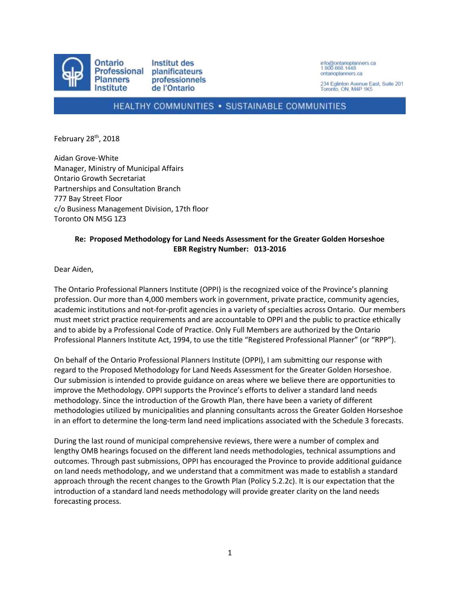

info@ontarioplanners.ca<br>1.800.668.1448 ontarioplanners ca

234 Eglinton Avenue East, Suite 201 Toronto, ON, M4P 1K5

## HEALTHY COMMUNITIES . SUSTAINABLE COMMUNITIES

February 28<sup>th</sup>, 2018

Aidan Grove-White Manager, Ministry of Municipal Affairs Ontario Growth Secretariat Partnerships and Consultation Branch 777 Bay Street Floor c/o Business Management Division, 17th floor Toronto ON M5G 1Z3

## **Re: Proposed Methodology for Land Needs Assessment for the Greater Golden Horseshoe EBR Registry Number: 013-2016**

Dear Aiden,

The Ontario Professional Planners Institute (OPPI) is the recognized voice of the Province's planning profession. Our more than 4,000 members work in government, private practice, community agencies, academic institutions and not-for-profit agencies in a variety of specialties across Ontario. Our members must meet strict practice requirements and are accountable to OPPI and the public to practice ethically and to abide by a Professional Code of Practice. Only Full Members are authorized by the Ontario Professional Planners Institute Act, 1994, to use the title "Registered Professional Planner" (or "RPP").

On behalf of the Ontario Professional Planners Institute (OPPI), I am submitting our response with regard to the Proposed Methodology for Land Needs Assessment for the Greater Golden Horseshoe. Our submission is intended to provide guidance on areas where we believe there are opportunities to improve the Methodology. OPPI supports the Province's efforts to deliver a standard land needs methodology. Since the introduction of the Growth Plan, there have been a variety of different methodologies utilized by municipalities and planning consultants across the Greater Golden Horseshoe in an effort to determine the long-term land need implications associated with the Schedule 3 forecasts.

During the last round of municipal comprehensive reviews, there were a number of complex and lengthy OMB hearings focused on the different land needs methodologies, technical assumptions and outcomes. Through past submissions, OPPI has encouraged the Province to provide additional guidance on land needs methodology, and we understand that a commitment was made to establish a standard approach through the recent changes to the Growth Plan (Policy 5.2.2c). It is our expectation that the introduction of a standard land needs methodology will provide greater clarity on the land needs forecasting process.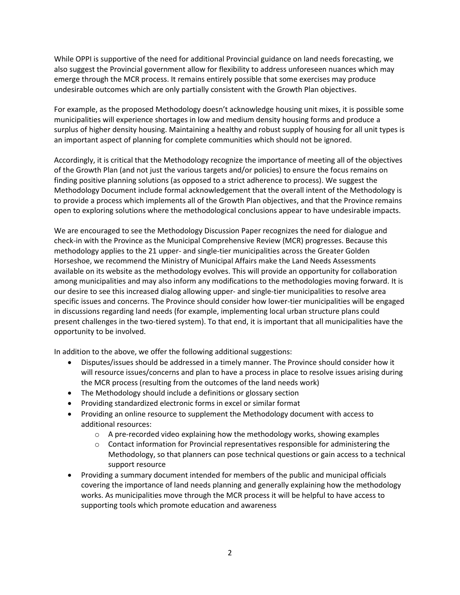While OPPI is supportive of the need for additional Provincial guidance on land needs forecasting, we also suggest the Provincial government allow for flexibility to address unforeseen nuances which may emerge through the MCR process. It remains entirely possible that some exercises may produce undesirable outcomes which are only partially consistent with the Growth Plan objectives.

For example, as the proposed Methodology doesn't acknowledge housing unit mixes, it is possible some municipalities will experience shortages in low and medium density housing forms and produce a surplus of higher density housing. Maintaining a healthy and robust supply of housing for all unit types is an important aspect of planning for complete communities which should not be ignored.

Accordingly, it is critical that the Methodology recognize the importance of meeting all of the objectives of the Growth Plan (and not just the various targets and/or policies) to ensure the focus remains on finding positive planning solutions (as opposed to a strict adherence to process). We suggest the Methodology Document include formal acknowledgement that the overall intent of the Methodology is to provide a process which implements all of the Growth Plan objectives, and that the Province remains open to exploring solutions where the methodological conclusions appear to have undesirable impacts.

We are encouraged to see the Methodology Discussion Paper recognizes the need for dialogue and check-in with the Province as the Municipal Comprehensive Review (MCR) progresses. Because this methodology applies to the 21 upper- and single-tier municipalities across the Greater Golden Horseshoe, we recommend the Ministry of Municipal Affairs make the Land Needs Assessments available on its website as the methodology evolves. This will provide an opportunity for collaboration among municipalities and may also inform any modifications to the methodologies moving forward. It is our desire to see this increased dialog allowing upper- and single-tier municipalities to resolve area specific issues and concerns. The Province should consider how lower-tier municipalities will be engaged in discussions regarding land needs (for example, implementing local urban structure plans could present challenges in the two-tiered system). To that end, it is important that all municipalities have the opportunity to be involved.

In addition to the above, we offer the following additional suggestions:

- Disputes/issues should be addressed in a timely manner. The Province should consider how it will resource issues/concerns and plan to have a process in place to resolve issues arising during the MCR process (resulting from the outcomes of the land needs work)
- The Methodology should include a definitions or glossary section
- Providing standardized electronic forms in excel or similar format
- Providing an online resource to supplement the Methodology document with access to additional resources:
	- $\circ$  A pre-recorded video explaining how the methodology works, showing examples
	- $\circ$  Contact information for Provincial representatives responsible for administering the Methodology, so that planners can pose technical questions or gain access to a technical support resource
- Providing a summary document intended for members of the public and municipal officials covering the importance of land needs planning and generally explaining how the methodology works. As municipalities move through the MCR process it will be helpful to have access to supporting tools which promote education and awareness